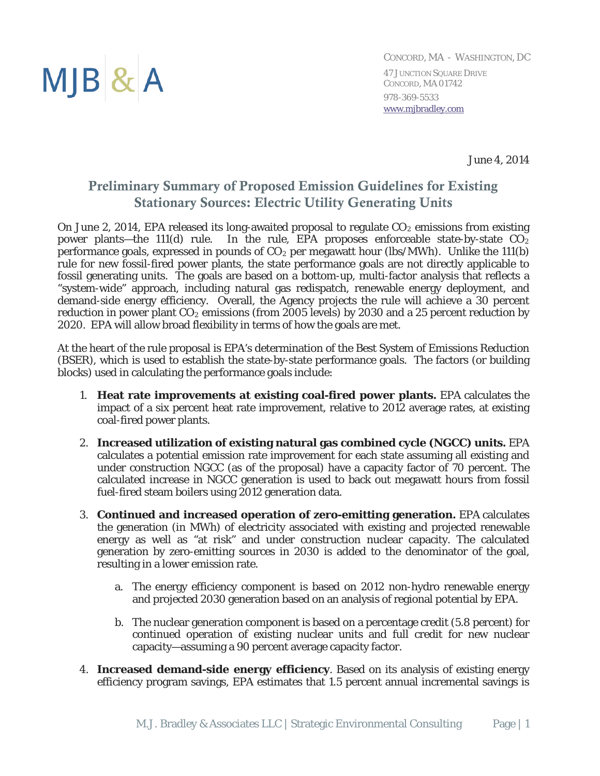

*CONCORD, MA - WASHINGTON, DC* 47 JUNCTION SQUARE DRIVE CONCORD, MA 01742 978-369-5533 [www.mjbradley.com](http://www.mjbradley.com/)

June 4, 2014

### Preliminary Summary of Proposed Emission Guidelines for Existing Stationary Sources: Electric Utility Generating Units

On June 2, 2014, EPA released its long-awaited proposal to regulate  $CO<sub>2</sub>$  emissions from existing power plants—the 111(d) rule. In the rule, EPA proposes enforceable state-by-state  $CO<sub>2</sub>$ performance goals, expressed in pounds of  $CO<sub>2</sub>$  per megawatt hour (lbs/MWh). Unlike the 111(b) rule for new fossil-fired power plants, the state performance goals are not directly applicable to fossil generating units. The goals are based on a bottom-up, multi-factor analysis that reflects a "system-wide" approach, including natural gas redispatch, renewable energy deployment, and demand-side energy efficiency. Overall, the Agency projects the rule will achieve a 30 percent reduction in power plant  $CO<sub>2</sub>$  emissions (from 2005 levels) by 2030 and a 25 percent reduction by 2020. EPA will allow broad flexibility in terms of how the goals are met.

At the heart of the rule proposal is EPA's determination of the Best System of Emissions Reduction (BSER), which is used to establish the state-by-state performance goals. The factors (or building blocks) used in calculating the performance goals include:

- 1. **Heat rate improvements at existing coal-fired power plants.** EPA calculates the impact of a six percent heat rate improvement, relative to 2012 average rates, at existing coal-fired power plants.
- 2. **Increased utilization of existing natural gas combined cycle (NGCC) units.** EPA calculates a potential emission rate improvement for each state assuming all existing and under construction NGCC (as of the proposal) have a capacity factor of 70 percent. The calculated increase in NGCC generation is used to back out megawatt hours from fossil fuel-fired steam boilers using 2012 generation data.
- 3. **Continued and increased operation of zero-emitting generation.** EPA calculates the generation (in MWh) of electricity associated with existing and projected renewable energy as well as "at risk" and under construction nuclear capacity. The calculated generation by zero-emitting sources in 2030 is added to the denominator of the goal, resulting in a lower emission rate.
	- a. The energy efficiency component is based on 2012 non-hydro renewable energy and projected 2030 generation based on an analysis of regional potential by EPA.
	- b. The nuclear generation component is based on a percentage credit (5.8 percent) for continued operation of existing nuclear units and full credit for new nuclear capacity—assuming a 90 percent average capacity factor.
- 4. **Increased demand-side energy efficiency**. Based on its analysis of existing energy efficiency program savings, EPA estimates that 1.5 percent annual incremental savings is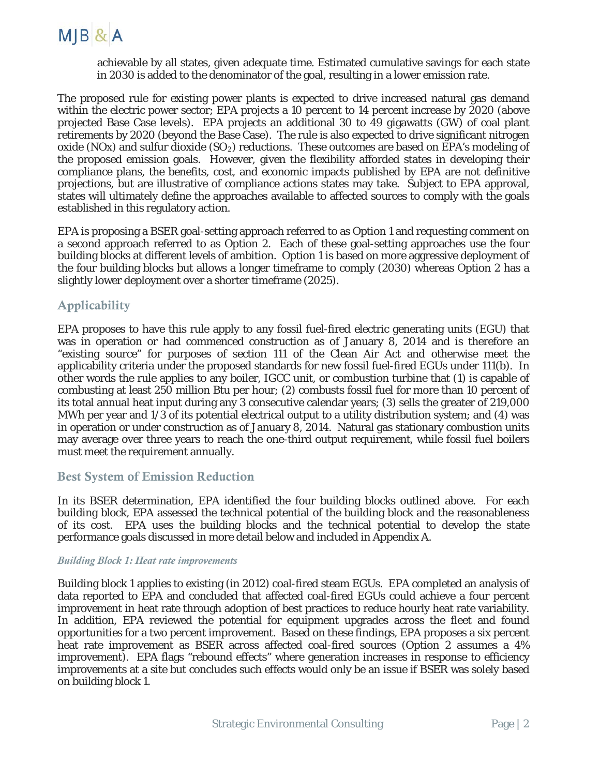

achievable by all states, given adequate time. Estimated cumulative savings for each state in 2030 is added to the denominator of the goal, resulting in a lower emission rate.

The proposed rule for existing power plants is expected to drive increased natural gas demand within the electric power sector; EPA projects a 10 percent to 14 percent increase by 2020 (above projected Base Case levels). EPA projects an additional 30 to 49 gigawatts (GW) of coal plant retirements by 2020 (beyond the Base Case). The rule is also expected to drive significant nitrogen oxide (NOx) and sulfur dioxide  $(SO_2)$  reductions. These outcomes are based on EPA's modeling of the proposed emission goals. However, given the flexibility afforded states in developing their compliance plans, the benefits, cost, and economic impacts published by EPA are not definitive projections, but are illustrative of compliance actions states may take. Subject to EPA approval, states will ultimately define the approaches available to affected sources to comply with the goals established in this regulatory action.

EPA is proposing a BSER goal-setting approach referred to as Option 1 and requesting comment on a second approach referred to as Option 2. Each of these goal-setting approaches use the four building blocks at different levels of ambition. Option 1 is based on more aggressive deployment of the four building blocks but allows a longer timeframe to comply (2030) whereas Option 2 has a slightly lower deployment over a shorter timeframe (2025).

#### **Applicability**

EPA proposes to have this rule apply to any fossil fuel-fired electric generating units (EGU) that was in operation or had commenced construction as of January 8, 2014 and is therefore an "existing source" for purposes of section 111 of the Clean Air Act and otherwise meet the applicability criteria under the proposed standards for new fossil fuel-fired EGUs under 111(b). In other words the rule applies to any boiler, IGCC unit, or combustion turbine that (1) is capable of combusting at least 250 million Btu per hour; (2) combusts fossil fuel for more than 10 percent of its total annual heat input during any 3 consecutive calendar years; (3) sells the greater of 219,000 MWh per year and 1/3 of its potential electrical output to a utility distribution system; and (4) was in operation or under construction as of January 8, 2014. Natural gas stationary combustion units may average over three years to reach the one-third output requirement, while fossil fuel boilers must meet the requirement annually.

#### Best System of Emission Reduction

In its BSER determination, EPA identified the four building blocks outlined above. For each building block, EPA assessed the technical potential of the building block and the reasonableness of its cost. EPA uses the building blocks and the technical potential to develop the state performance goals discussed in more detail below and included in Appendix A.

#### *Building Block 1: Heat rate improvements*

Building block 1 applies to existing (in 2012) coal-fired steam EGUs. EPA completed an analysis of data reported to EPA and concluded that affected coal-fired EGUs could achieve a four percent improvement in heat rate through adoption of best practices to reduce hourly heat rate variability. In addition, EPA reviewed the potential for equipment upgrades across the fleet and found opportunities for a two percent improvement. Based on these findings, EPA proposes a six percent heat rate improvement as BSER across affected coal-fired sources (Option 2 assumes a 4% improvement). EPA flags "rebound effects" where generation increases in response to efficiency improvements at a site but concludes such effects would only be an issue if BSER was solely based on building block 1.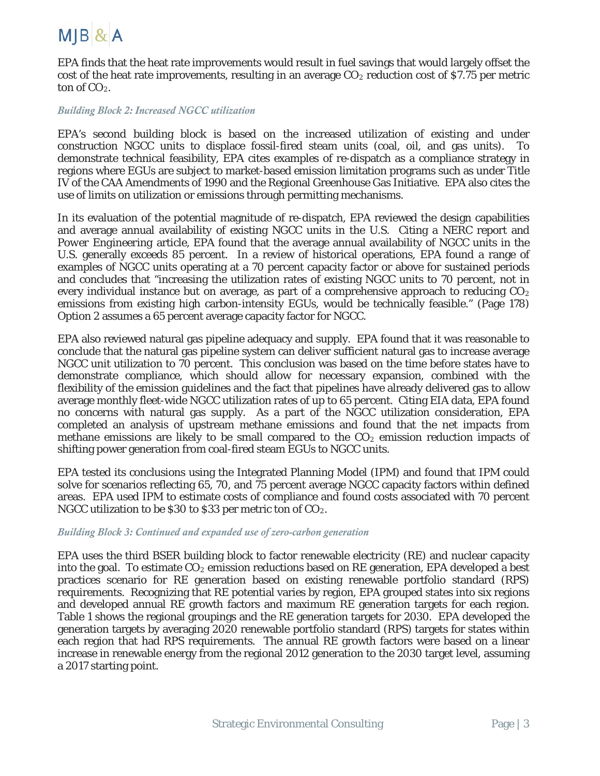

EPA finds that the heat rate improvements would result in fuel savings that would largely offset the cost of the heat rate improvements, resulting in an average  $CO<sub>2</sub>$  reduction cost of \$7.75 per metric ton of  $CO<sub>2</sub>$ .

#### *Building Block 2: Increased NGCC utilization*

EPA's second building block is based on the increased utilization of existing and under construction NGCC units to displace fossil-fired steam units (coal, oil, and gas units). To demonstrate technical feasibility, EPA cites examples of re-dispatch as a compliance strategy in regions where EGUs are subject to market-based emission limitation programs such as under Title IV of the CAA Amendments of 1990 and the Regional Greenhouse Gas Initiative. EPA also cites the use of limits on utilization or emissions through permitting mechanisms.

In its evaluation of the potential magnitude of re-dispatch, EPA reviewed the design capabilities and average annual availability of existing NGCC units in the U.S. Citing a NERC report and *Power Engineering* article, EPA found that the average annual availability of NGCC units in the U.S. generally exceeds 85 percent. In a review of historical operations, EPA found a range of examples of NGCC units operating at a 70 percent capacity factor or above for sustained periods and concludes that "increasing the utilization rates of existing NGCC units to 70 percent, not in every individual instance but on average, as part of a comprehensive approach to reducing  $CO<sub>2</sub>$ emissions from existing high carbon-intensity EGUs, would be technically feasible." (Page 178) Option 2 assumes a 65 percent average capacity factor for NGCC.

EPA also reviewed natural gas pipeline adequacy and supply. EPA found that it was reasonable to conclude that the natural gas pipeline system can deliver sufficient natural gas to increase average NGCC unit utilization to 70 percent. This conclusion was based on the time before states have to demonstrate compliance, which should allow for necessary expansion, combined with the flexibility of the emission guidelines and the fact that pipelines have already delivered gas to allow average monthly fleet-wide NGCC utilization rates of up to 65 percent. Citing EIA data, EPA found no concerns with natural gas supply. As a part of the NGCC utilization consideration, EPA completed an analysis of upstream methane emissions and found that the net impacts from methane emissions are likely to be small compared to the  $CO<sub>2</sub>$  emission reduction impacts of shifting power generation from coal-fired steam EGUs to NGCC units.

EPA tested its conclusions using the Integrated Planning Model (IPM) and found that IPM could solve for scenarios reflecting 65, 70, and 75 percent average NGCC capacity factors within defined areas. EPA used IPM to estimate costs of compliance and found costs associated with 70 percent NGCC utilization to be \$30 to \$33 per metric ton of  $CO<sub>2</sub>$ .

#### *Building Block 3: Continued and expanded use of zero-carbon generation*

EPA uses the third BSER building block to factor renewable electricity (RE) and nuclear capacity into the goal. To estimate  $CO<sub>2</sub>$  emission reductions based on RE generation, EPA developed a best practices scenario for RE generation based on existing renewable portfolio standard (RPS) requirements. Recognizing that RE potential varies by region, EPA grouped states into six regions and developed annual RE growth factors and maximum RE generation targets for each region. Table 1 shows the regional groupings and the RE generation targets for 2030. EPA developed the generation targets by averaging 2020 renewable portfolio standard (RPS) targets for states within each region that had RPS requirements. The annual RE growth factors were based on a linear increase in renewable energy from the regional 2012 generation to the 2030 target level, assuming a 2017 starting point.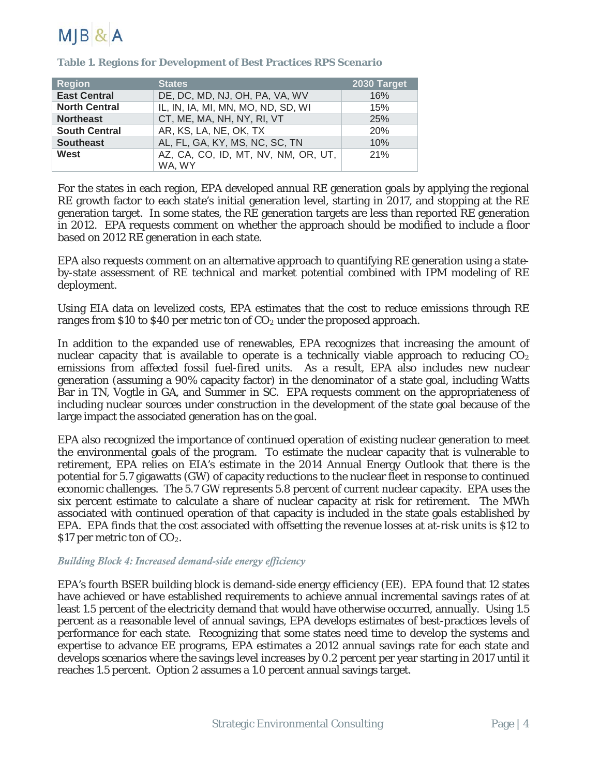

| <b>Region</b>        | <b>States</b>                                 | 2030 Target |
|----------------------|-----------------------------------------------|-------------|
| <b>East Central</b>  | DE, DC, MD, NJ, OH, PA, VA, WV                | 16%         |
| <b>North Central</b> | IL, IN, IA, MI, MN, MO, ND, SD, WI            | 15%         |
| <b>Northeast</b>     | CT, ME, MA, NH, NY, RI, VT                    | 25%         |
| <b>South Central</b> | AR, KS, LA, NE, OK, TX                        | 20%         |
| <b>Southeast</b>     | AL, FL, GA, KY, MS, NC, SC, TN                | 10%         |
| West                 | AZ, CA, CO, ID, MT, NV, NM, OR, UT,<br>WA, WY | 21%         |

**Table 1. Regions for Development of Best Practices RPS Scenario**

For the states in each region, EPA developed annual RE generation goals by applying the regional RE growth factor to each state's initial generation level, starting in 2017, and stopping at the RE generation target. In some states, the RE generation targets are less than reported RE generation in 2012. EPA requests comment on whether the approach should be modified to include a floor based on 2012 RE generation in each state.

EPA also requests comment on an alternative approach to quantifying RE generation using a stateby-state assessment of RE technical and market potential combined with IPM modeling of RE deployment.

Using EIA data on levelized costs, EPA estimates that the cost to reduce emissions through RE ranges from \$10 to \$40 per metric ton of  $CO<sub>2</sub>$  under the proposed approach.

In addition to the expanded use of renewables, EPA recognizes that increasing the amount of nuclear capacity that is available to operate is a technically viable approach to reducing  $CO<sub>2</sub>$ emissions from affected fossil fuel-fired units. As a result, EPA also includes new nuclear generation (assuming a 90% capacity factor) in the denominator of a state goal, including Watts Bar in TN, Vogtle in GA, and Summer in SC. EPA requests comment on the appropriateness of including nuclear sources under construction in the development of the state goal because of the large impact the associated generation has on the goal.

EPA also recognized the importance of continued operation of existing nuclear generation to meet the environmental goals of the program. To estimate the nuclear capacity that is vulnerable to retirement, EPA relies on EIA's estimate in the 2014 Annual Energy Outlook that there is the potential for 5.7 gigawatts (GW) of capacity reductions to the nuclear fleet in response to continued economic challenges. The 5.7 GW represents 5.8 percent of current nuclear capacity. EPA uses the six percent estimate to calculate a share of nuclear capacity at risk for retirement. The MWh associated with continued operation of that capacity is included in the state goals established by EPA. EPA finds that the cost associated with offsetting the revenue losses at at-risk units is \$12 to \$17 per metric ton of CO<sub>2</sub>.

#### *Building Block 4: Increased demand-side energy efficiency*

EPA's fourth BSER building block is demand-side energy efficiency (EE). EPA found that 12 states have achieved or have established requirements to achieve annual incremental savings rates of at least 1.5 percent of the electricity demand that would have otherwise occurred, annually. Using 1.5 percent as a reasonable level of annual savings, EPA develops estimates of best-practices levels of performance for each state. Recognizing that some states need time to develop the systems and expertise to advance EE programs, EPA estimates a 2012 annual savings rate for each state and develops scenarios where the savings level increases by 0.2 percent per year starting in 2017 until it reaches 1.5 percent. Option 2 assumes a 1.0 percent annual savings target.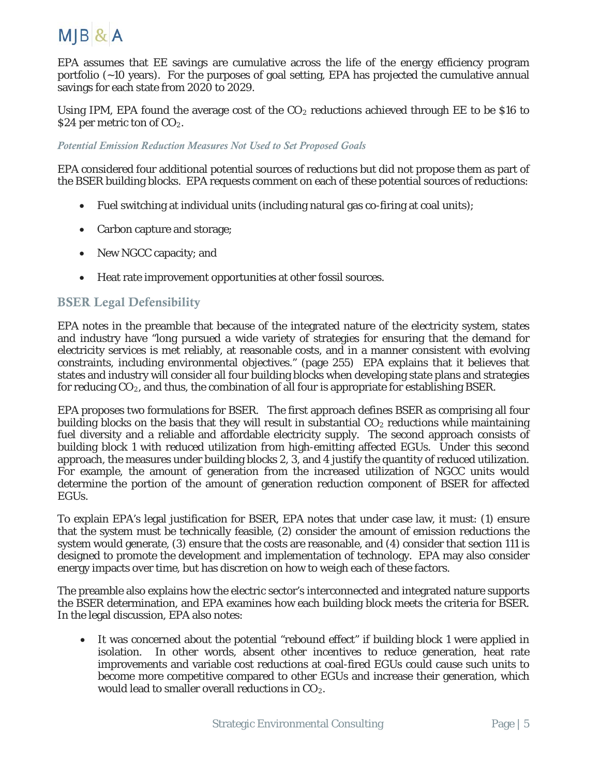

EPA assumes that EE savings are cumulative across the life of the energy efficiency program portfolio (~10 years). For the purposes of goal setting, EPA has projected the cumulative annual savings for each state from 2020 to 2029.

Using IPM, EPA found the average cost of the  $CO<sub>2</sub>$  reductions achieved through EE to be \$16 to \$24 per metric ton of  $CO<sub>2</sub>$ .

#### *Potential Emission Reduction Measures Not Used to Set Proposed Goals*

EPA considered four additional potential sources of reductions but did not propose them as part of the BSER building blocks. EPA requests comment on each of these potential sources of reductions:

- Fuel switching at individual units (including natural gas co-firing at coal units);
- Carbon capture and storage;
- New NGCC capacity; and
- Heat rate improvement opportunities at other fossil sources.

#### BSER Legal Defensibility

EPA notes in the preamble that because of the integrated nature of the electricity system, states and industry have "long pursued a wide variety of strategies for ensuring that the demand for electricity services is met reliably, at reasonable costs, and in a manner consistent with evolving constraints, including environmental objectives." (page 255) EPA explains that it believes that states and industry will consider all four building blocks when developing state plans and strategies for reducing  $CO<sub>2</sub>$ , and thus, the combination of all four is appropriate for establishing BSER.

EPA proposes two formulations for BSER. The first approach defines BSER as comprising all four building blocks on the basis that they will result in substantial  $CO<sub>2</sub>$  reductions while maintaining fuel diversity and a reliable and affordable electricity supply. The second approach consists of building block 1 with reduced utilization from high-emitting affected EGUs. Under this second approach, the measures under building blocks 2, 3, and 4 justify the quantity of reduced utilization. For example, the amount of generation from the increased utilization of NGCC units would determine the portion of the amount of generation reduction component of BSER for affected EGUs.

To explain EPA's legal justification for BSER, EPA notes that under case law, it must: (1) ensure that the system must be technically feasible, (2) consider the amount of emission reductions the system would generate, (3) ensure that the costs are reasonable, and (4) consider that section 111 is designed to promote the development and implementation of technology. EPA may also consider energy impacts over time, but has discretion on how to weigh each of these factors.

The preamble also explains how the electric sector's interconnected and integrated nature supports the BSER determination, and EPA examines how each building block meets the criteria for BSER. In the legal discussion, EPA also notes:

• It was concerned about the potential "rebound effect" if building block 1 were applied in isolation. In other words, absent other incentives to reduce generation, heat rate improvements and variable cost reductions at coal-fired EGUs could cause such units to become more competitive compared to other EGUs and increase their generation, which would lead to smaller overall reductions in CO<sub>2</sub>.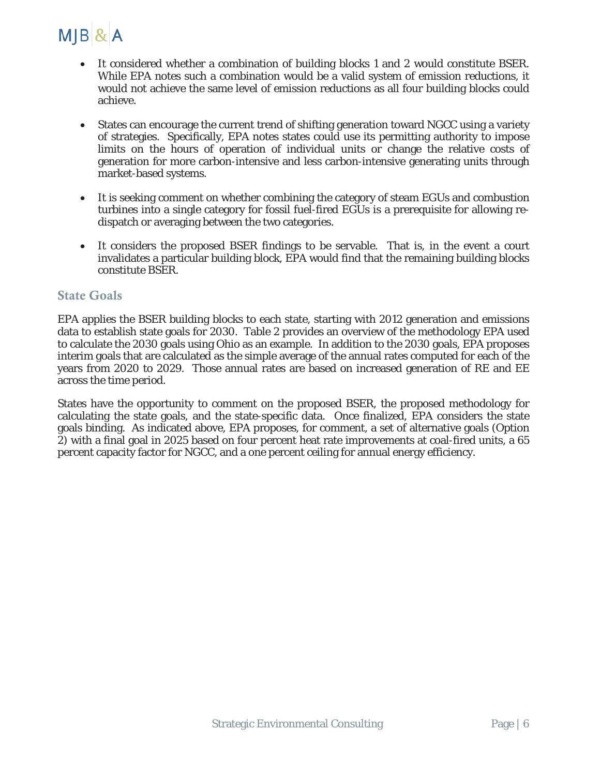

- It considered whether a combination of building blocks 1 and 2 would constitute BSER. While EPA notes such a combination would be a valid system of emission reductions, it would not achieve the same level of emission reductions as all four building blocks could achieve.
- States can encourage the current trend of shifting generation toward NGCC using a variety of strategies. Specifically, EPA notes states could use its permitting authority to impose limits on the hours of operation of individual units or change the relative costs of generation for more carbon-intensive and less carbon-intensive generating units through market-based systems.
- It is seeking comment on whether combining the category of steam EGUs and combustion turbines into a single category for fossil fuel-fired EGUs is a prerequisite for allowing redispatch or averaging between the two categories.
- It considers the proposed BSER findings to be servable. That is, in the event a court invalidates a particular building block, EPA would find that the remaining building blocks constitute BSER.

#### State Goals

EPA applies the BSER building blocks to each state, starting with 2012 generation and emissions data to establish state goals for 2030. Table 2 provides an overview of the methodology EPA used to calculate the 2030 goals using Ohio as an example. In addition to the 2030 goals, EPA proposes interim goals that are calculated as the simple average of the annual rates computed for each of the years from 2020 to 2029. Those annual rates are based on increased generation of RE and EE across the time period.

States have the opportunity to comment on the proposed BSER, the proposed methodology for calculating the state goals, and the state-specific data. Once finalized, EPA considers the state goals binding. As indicated above, EPA proposes, for comment, a set of alternative goals (Option 2) with a final goal in 2025 based on four percent heat rate improvements at coal-fired units, a 65 percent capacity factor for NGCC, and a one percent ceiling for annual energy efficiency.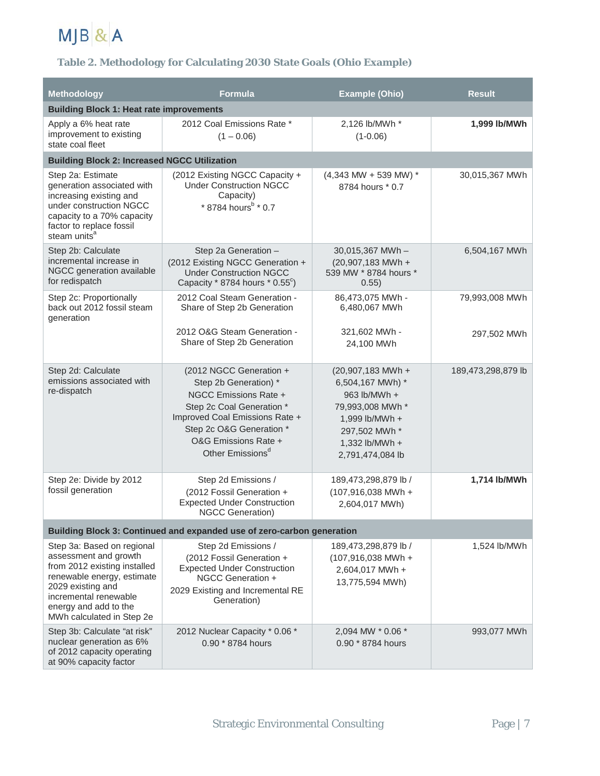

#### **Table 2. Methodology for Calculating 2030 State Goals (Ohio Example)**

| Methodology                                                                                                                                                                                                           | <b>Formula</b>                                                                                                                                                                                                               | <b>Example (Ohio)</b>                                                                                                                              | <b>Result</b>      |  |  |  |  |  |  |  |  |
|-----------------------------------------------------------------------------------------------------------------------------------------------------------------------------------------------------------------------|------------------------------------------------------------------------------------------------------------------------------------------------------------------------------------------------------------------------------|----------------------------------------------------------------------------------------------------------------------------------------------------|--------------------|--|--|--|--|--|--|--|--|
| <b>Building Block 1: Heat rate improvements</b>                                                                                                                                                                       |                                                                                                                                                                                                                              |                                                                                                                                                    |                    |  |  |  |  |  |  |  |  |
| Apply a 6% heat rate<br>improvement to existing<br>state coal fleet                                                                                                                                                   | 2012 Coal Emissions Rate *<br>$(1 - 0.06)$                                                                                                                                                                                   | 2,126 lb/MWh *<br>$(1 - 0.06)$                                                                                                                     | 1,999 lb/MWh       |  |  |  |  |  |  |  |  |
| <b>Building Block 2: Increased NGCC Utilization</b>                                                                                                                                                                   |                                                                                                                                                                                                                              |                                                                                                                                                    |                    |  |  |  |  |  |  |  |  |
| Step 2a: Estimate<br>generation associated with<br>increasing existing and<br>under construction NGCC<br>capacity to a 70% capacity<br>factor to replace fossil<br>steam units <sup>a</sup>                           | (2012 Existing NGCC Capacity +<br><b>Under Construction NGCC</b><br>Capacity)<br>* 8784 hours <sup>b</sup> * 0.7                                                                                                             | $(4,343$ MW + 539 MW) *<br>8784 hours * 0.7                                                                                                        | 30,015,367 MWh     |  |  |  |  |  |  |  |  |
| Step 2b: Calculate<br>incremental increase in<br>NGCC generation available<br>for redispatch                                                                                                                          | Step 2a Generation -<br>(2012 Existing NGCC Generation +<br><b>Under Construction NGCC</b><br>Capacity $*$ 8784 hours $*$ 0.55 $^{\circ}$ )                                                                                  | 30,015,367 MWh-<br>$(20,907,183$ MWh +<br>539 MW * 8784 hours *<br>0.55)                                                                           | 6,504,167 MWh      |  |  |  |  |  |  |  |  |
| Step 2c: Proportionally<br>back out 2012 fossil steam<br>generation                                                                                                                                                   | 2012 Coal Steam Generation -<br>Share of Step 2b Generation                                                                                                                                                                  | 86,473,075 MWh -<br>6,480,067 MWh                                                                                                                  | 79,993,008 MWh     |  |  |  |  |  |  |  |  |
|                                                                                                                                                                                                                       | 2012 O&G Steam Generation -<br>Share of Step 2b Generation                                                                                                                                                                   | 321,602 MWh -<br>24,100 MWh                                                                                                                        | 297,502 MWh        |  |  |  |  |  |  |  |  |
| Step 2d: Calculate<br>emissions associated with<br>re-dispatch                                                                                                                                                        | (2012 NGCC Generation +<br>Step 2b Generation) *<br>NGCC Emissions Rate +<br>Step 2c Coal Generation *<br>Improved Coal Emissions Rate +<br>Step 2c O&G Generation *<br>O&G Emissions Rate +<br>Other Emissions <sup>d</sup> | (20,907,183 MWh +<br>6,504,167 MWh) *<br>963 lb/MWh +<br>79,993,008 MWh *<br>1,999 lb/MWh +<br>297,502 MWh *<br>1,332 lb/MWh +<br>2,791,474,084 lb | 189,473,298,879 lb |  |  |  |  |  |  |  |  |
| Step 2e: Divide by 2012<br>fossil generation                                                                                                                                                                          | Step 2d Emissions /<br>(2012 Fossil Generation +<br><b>Expected Under Construction</b><br><b>NGCC Generation)</b>                                                                                                            | 189,473,298,879 lb /<br>$(107,916,038$ MWh +<br>2,604,017 MWh)                                                                                     | 1,714 lb/MWh       |  |  |  |  |  |  |  |  |
|                                                                                                                                                                                                                       | Building Block 3: Continued and expanded use of zero-carbon generation                                                                                                                                                       |                                                                                                                                                    |                    |  |  |  |  |  |  |  |  |
| Step 3a: Based on regional<br>assessment and growth<br>from 2012 existing installed<br>renewable energy, estimate<br>2029 existing and<br>incremental renewable<br>energy and add to the<br>MWh calculated in Step 2e | Step 2d Emissions /<br>(2012 Fossil Generation +<br><b>Expected Under Construction</b><br>NGCC Generation +<br>2029 Existing and Incremental RE<br>Generation)                                                               | 189,473,298,879 lb /<br>$(107,916,038$ MWh +<br>2,604,017 MWh +<br>13,775,594 MWh)                                                                 | 1,524 lb/MWh       |  |  |  |  |  |  |  |  |
| Step 3b: Calculate "at risk"<br>nuclear generation as 6%<br>of 2012 capacity operating<br>at 90% capacity factor                                                                                                      | 2012 Nuclear Capacity * 0.06 *<br>0.90 * 8784 hours                                                                                                                                                                          | 2,094 MW * 0.06 *<br>0.90 * 8784 hours                                                                                                             | 993,077 MWh        |  |  |  |  |  |  |  |  |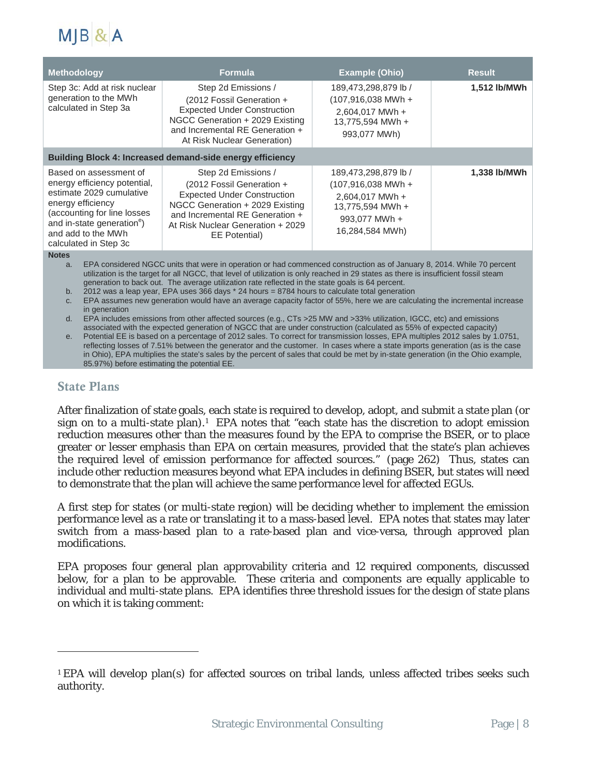

| <b>Methodology</b>                                                                                                                                                                                                              | <b>Formula</b>                                                                                                                                                                                                                                                                                                                                                                                                                                                        | <b>Example (Ohio)</b>                                                                                                   | <b>Result</b> |
|---------------------------------------------------------------------------------------------------------------------------------------------------------------------------------------------------------------------------------|-----------------------------------------------------------------------------------------------------------------------------------------------------------------------------------------------------------------------------------------------------------------------------------------------------------------------------------------------------------------------------------------------------------------------------------------------------------------------|-------------------------------------------------------------------------------------------------------------------------|---------------|
| Step 3c: Add at risk nuclear<br>generation to the MWh<br>calculated in Step 3a                                                                                                                                                  | Step 2d Emissions /<br>(2012 Fossil Generation +<br><b>Expected Under Construction</b><br>NGCC Generation + 2029 Existing<br>and Incremental RE Generation +<br>At Risk Nuclear Generation)                                                                                                                                                                                                                                                                           | 189,473,298,879 lb /<br>(107,916,038 MWh +<br>2,604,017 MWh +<br>13.775.594 MWh +<br>993,077 MWh)                       | 1,512 lb/MWh  |
|                                                                                                                                                                                                                                 | <b>Building Block 4: Increased demand-side energy efficiency</b>                                                                                                                                                                                                                                                                                                                                                                                                      |                                                                                                                         |               |
| Based on assessment of<br>energy efficiency potential,<br>estimate 2029 cumulative<br>energy efficiency<br>(accounting for line losses<br>and in-state generation <sup>e</sup> )<br>and add to the MWh<br>calculated in Step 3c | Step 2d Emissions /<br>(2012 Fossil Generation +<br><b>Expected Under Construction</b><br>NGCC Generation + 2029 Existing<br>and Incremental RE Generation +<br>At Risk Nuclear Generation + 2029<br>EE Potential)                                                                                                                                                                                                                                                    | 189,473,298,879 lb /<br>$(107,916,038$ MWh +<br>2,604,017 MWh +<br>13,775,594 MWh +<br>993,077 MWh +<br>16,284,584 MWh) | 1,338 lb/MWh  |
| <b>Notes</b><br>a.<br>b.                                                                                                                                                                                                        | EPA considered NGCC units that were in operation or had commenced construction as of January 8, 2014. While 70 percent<br>utilization is the target for all NGCC, that level of utilization is only reached in 29 states as there is insufficient fossil steam<br>generation to back out. The average utilization rate reflected in the state goals is 64 percent.<br>2012 was a leap year, EPA uses 366 days $*$ 24 hours = 8784 hours to calculate total generation |                                                                                                                         |               |

c. EPA assumes new generation would have an average capacity factor of 55%, here we are calculating the incremental increase in generation

d. EPA includes emissions from other affected sources (e.g., CTs >25 MW and >33% utilization, IGCC, etc) and emissions associated with the expected generation of NGCC that are under construction (calculated as 55% of expected capacity)

e. Potential EE is based on a percentage of 2012 sales. To correct for transmission losses, EPA multiples 2012 sales by 1.0751, reflecting losses of 7.51% between the generator and the customer. In cases where a state imports generation (as is the case in Ohio), EPA multiplies the state's sales by the percent of sales that could be met by in-state generation (in the Ohio example, 85.97%) before estimating the potential EE.

#### State Plans

 $\overline{a}$ 

After finalization of state goals, each state is required to develop, adopt, and submit a state plan (or sign on to a multi-state plan).<sup>[1](#page-7-0)</sup> EPA notes that "each state has the discretion to adopt emission reduction measures other than the measures found by the EPA to comprise the BSER, or to place greater or lesser emphasis than EPA on certain measures, provided that the state's plan achieves the required level of emission performance for affected sources." (page 262) Thus, states can include other reduction measures beyond what EPA includes in defining BSER, but states will need to demonstrate that the plan will achieve the same performance level for affected EGUs.

A first step for states (or multi-state region) will be deciding whether to implement the emission performance level as a rate or translating it to a mass-based level. EPA notes that states may later switch from a mass-based plan to a rate-based plan and vice-versa, through approved plan modifications.

EPA proposes four general plan approvability criteria and 12 required components, discussed below, for a plan to be approvable. These criteria and components are equally applicable to individual and multi-state plans. EPA identifies three threshold issues for the design of state plans on which it is taking comment:

<span id="page-7-0"></span><sup>1</sup> EPA will develop plan(s) for affected sources on tribal lands, unless affected tribes seeks such authority.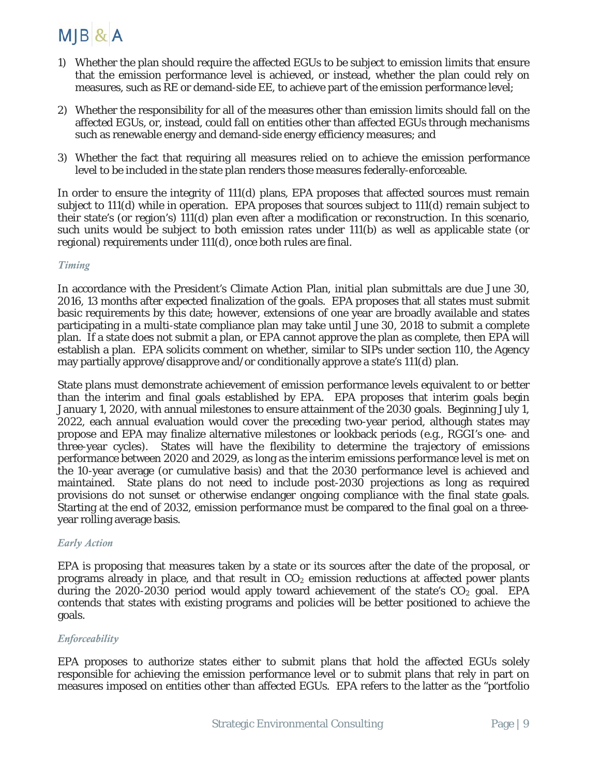## MJB & A

- 1) Whether the plan should require the affected EGUs to be subject to emission limits that ensure that the emission performance level is achieved, or instead, whether the plan could rely on measures, such as RE or demand-side EE, to achieve part of the emission performance level;
- 2) Whether the responsibility for all of the measures other than emission limits should fall on the affected EGUs, or, instead, could fall on entities other than affected EGUs through mechanisms such as renewable energy and demand-side energy efficiency measures; and
- 3) Whether the fact that requiring all measures relied on to achieve the emission performance level to be included in the state plan renders those measures federally-enforceable.

In order to ensure the integrity of 111(d) plans, EPA proposes that affected sources must remain subject to 111(d) while in operation. EPA proposes that sources subject to 111(d) remain subject to their state's (or region's) 111(d) plan even after a modification or reconstruction. In this scenario, such units would be subject to both emission rates under 111(b) as well as applicable state (or regional) requirements under 111(d), once both rules are final.

#### *Timing*

In accordance with the President's Climate Action Plan, initial plan submittals are due June 30, 2016, 13 months after expected finalization of the goals. EPA proposes that all states must submit basic requirements by this date; however, extensions of one year are broadly available and states participating in a multi-state compliance plan may take until June 30, 2018 to submit a complete plan. If a state does not submit a plan, or EPA cannot approve the plan as complete, then EPA will establish a plan. EPA solicits comment on whether, similar to SIPs under section 110, the Agency may partially approve/disapprove and/or conditionally approve a state's 111(d) plan.

State plans must demonstrate achievement of emission performance levels equivalent to or better than the interim and final goals established by EPA. EPA proposes that interim goals begin January 1, 2020, with annual milestones to ensure attainment of the 2030 goals. Beginning July 1, 2022, each annual evaluation would cover the preceding two-year period, although states may propose and EPA may finalize alternative milestones or lookback periods (e.g., RGGI's one- and three-year cycles). States will have the flexibility to determine the trajectory of emissions performance between 2020 and 2029, as long as the interim emissions performance level is met on the 10-year average (or cumulative basis) and that the 2030 performance level is achieved and maintained. State plans do not need to include post-2030 projections as long as required provisions do not sunset or otherwise endanger ongoing compliance with the final state goals. Starting at the end of 2032, emission performance must be compared to the final goal on a threeyear rolling average basis.

#### *Early Action*

EPA is proposing that measures taken by a state or its sources after the date of the proposal, or programs already in place, and that result in  $CO<sub>2</sub>$  emission reductions at affected power plants during the 2020-2030 period would apply toward achievement of the state's  $CO<sub>2</sub>$  goal. EPA contends that states with existing programs and policies will be better positioned to achieve the goals.

#### *Enforceability*

EPA proposes to authorize states either to submit plans that hold the affected EGUs solely responsible for achieving the emission performance level or to submit plans that rely in part on measures imposed on entities other than affected EGUs. EPA refers to the latter as the "portfolio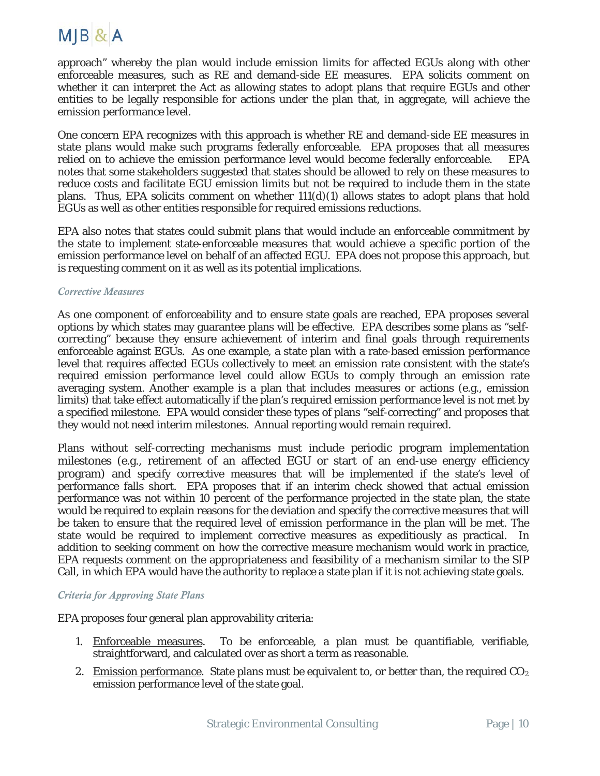### MJB & A

approach" whereby the plan would include emission limits for affected EGUs along with other enforceable measures, such as RE and demand-side EE measures. EPA solicits comment on whether it can interpret the Act as allowing states to adopt plans that require EGUs and other entities to be legally responsible for actions under the plan that, in aggregate, will achieve the emission performance level.

One concern EPA recognizes with this approach is whether RE and demand-side EE measures in state plans would make such programs federally enforceable. EPA proposes that all measures relied on to achieve the emission performance level would become federally enforceable. EPA notes that some stakeholders suggested that states should be allowed to rely on these measures to reduce costs and facilitate EGU emission limits but not be required to include them in the state plans. Thus, EPA solicits comment on whether  $11(d)(1)$  allows states to adopt plans that hold EGUs as well as other entities responsible for required emissions reductions.

EPA also notes that states could submit plans that would include an enforceable commitment by the state to implement state-enforceable measures that would achieve a specific portion of the emission performance level on behalf of an affected EGU. EPA does not propose this approach, but is requesting comment on it as well as its potential implications.

#### *Corrective Measures*

As one component of enforceability and to ensure state goals are reached, EPA proposes several options by which states may guarantee plans will be effective. EPA describes some plans as "selfcorrecting" because they ensure achievement of interim and final goals through requirements enforceable against EGUs. As one example, a state plan with a rate-based emission performance level that requires affected EGUs collectively to meet an emission rate consistent with the state's required emission performance level could allow EGUs to comply through an emission rate averaging system. Another example is a plan that includes measures or actions (e.g., emission limits) that take effect automatically if the plan's required emission performance level is not met by a specified milestone. EPA would consider these types of plans "self-correcting" and proposes that they would not need interim milestones. Annual reporting would remain required.

Plans without self-correcting mechanisms must include periodic program implementation milestones (e.g., retirement of an affected EGU or start of an end-use energy efficiency program) and specify corrective measures that will be implemented if the state's level of performance falls short. EPA proposes that if an interim check showed that actual emission performance was not within 10 percent of the performance projected in the state plan, the state would be required to explain reasons for the deviation and specify the corrective measures that will be taken to ensure that the required level of emission performance in the plan will be met. The state would be required to implement corrective measures as expeditiously as practical. In addition to seeking comment on how the corrective measure mechanism would work in practice, EPA requests comment on the appropriateness and feasibility of a mechanism similar to the SIP Call, in which EPA would have the authority to replace a state plan if it is not achieving state goals.

#### *Criteria for Approving State Plans*

EPA proposes four general plan approvability criteria:

- 1. Enforceable measures. To be enforceable, a plan must be quantifiable, verifiable, straightforward, and calculated over as short a term as reasonable.
- 2. Emission performance. State plans must be equivalent to, or better than, the required  $CO<sub>2</sub>$ emission performance level of the state goal.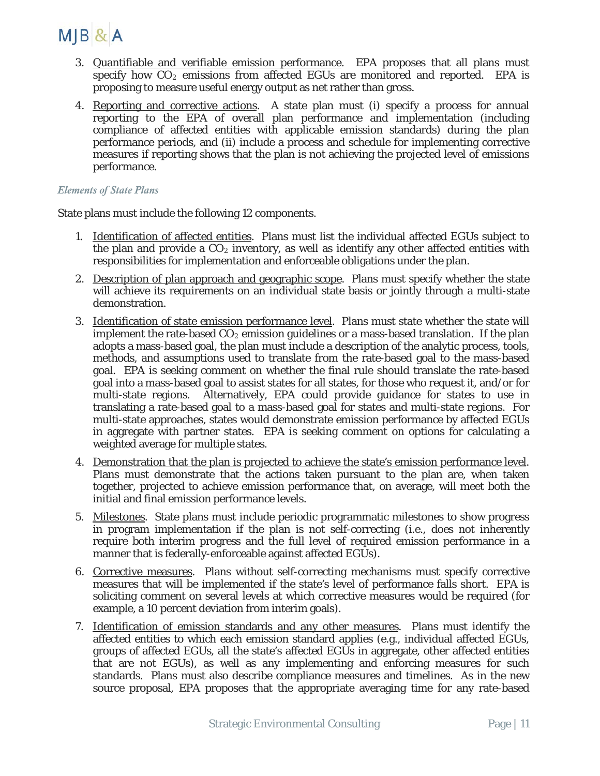

- 3. Quantifiable and verifiable emission performance. EPA proposes that all plans must specify how  $CO<sub>2</sub>$  emissions from affected EGUs are monitored and reported. EPA is proposing to measure useful energy output as net rather than gross.
- 4. Reporting and corrective actions. A state plan must (i) specify a process for annual reporting to the EPA of overall plan performance and implementation (including compliance of affected entities with applicable emission standards) during the plan performance periods, and (ii) include a process and schedule for implementing corrective measures if reporting shows that the plan is not achieving the projected level of emissions performance.

#### *Elements of State Plans*

State plans must include the following 12 components.

- 1. Identification of affected entities. Plans must list the individual affected EGUs subject to the plan and provide a  $CO<sub>2</sub>$  inventory, as well as identify any other affected entities with responsibilities for implementation and enforceable obligations under the plan.
- 2. Description of plan approach and geographic scope. Plans must specify whether the state will achieve its requirements on an individual state basis or jointly through a multi-state demonstration.
- 3. Identification of state emission performance level. Plans must state whether the state will implement the rate-based  $CO<sub>2</sub>$  emission guidelines or a mass-based translation. If the plan adopts a mass-based goal, the plan must include a description of the analytic process, tools, methods, and assumptions used to translate from the rate-based goal to the mass-based goal. EPA is seeking comment on whether the final rule should translate the rate-based goal into a mass-based goal to assist states for all states, for those who request it, and/or for multi-state regions. Alternatively, EPA could provide guidance for states to use in translating a rate-based goal to a mass-based goal for states and multi-state regions. For multi-state approaches, states would demonstrate emission performance by affected EGUs in aggregate with partner states. EPA is seeking comment on options for calculating a weighted average for multiple states.
- 4. Demonstration that the plan is projected to achieve the state's emission performance level. Plans must demonstrate that the actions taken pursuant to the plan are, when taken together, projected to achieve emission performance that, on average, will meet both the initial and final emission performance levels.
- 5. Milestones. State plans must include periodic programmatic milestones to show progress in program implementation if the plan is not self-correcting (i.e., does not inherently require both interim progress and the full level of required emission performance in a manner that is federally-enforceable against affected EGUs).
- 6. Corrective measures. Plans without self-correcting mechanisms must specify corrective measures that will be implemented if the state's level of performance falls short. EPA is soliciting comment on several levels at which corrective measures would be required (for example, a 10 percent deviation from interim goals).
- 7. Identification of emission standards and any other measures. Plans must identify the affected entities to which each emission standard applies (e.g., individual affected EGUs, groups of affected EGUs, all the state's affected EGUs in aggregate, other affected entities that are not EGUs), as well as any implementing and enforcing measures for such standards. Plans must also describe compliance measures and timelines. As in the new source proposal, EPA proposes that the appropriate averaging time for any rate-based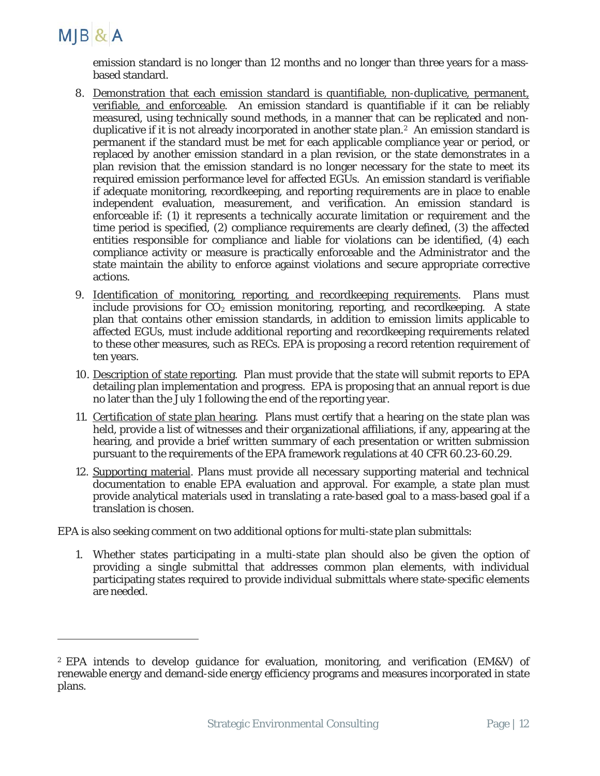

 $\overline{a}$ 

emission standard is no longer than 12 months and no longer than three years for a massbased standard.

- 8. Demonstration that each emission standard is quantifiable, non-duplicative, permanent, verifiable, and enforceable. An emission standard is quantifiable if it can be reliably measured, using technically sound methods, in a manner that can be replicated and nonduplicative if it is not already incorporated in another state plan.<sup>2</sup> An emission standard is permanent if the standard must be met for each applicable compliance year or period, or replaced by another emission standard in a plan revision, or the state demonstrates in a plan revision that the emission standard is no longer necessary for the state to meet its required emission performance level for affected EGUs. An emission standard is verifiable if adequate monitoring, recordkeeping, and reporting requirements are in place to enable independent evaluation, measurement, and verification. An emission standard is enforceable if: (1) it represents a technically accurate limitation or requirement and the time period is specified, (2) compliance requirements are clearly defined, (3) the affected entities responsible for compliance and liable for violations can be identified, (4) each compliance activity or measure is practically enforceable and the Administrator and the state maintain the ability to enforce against violations and secure appropriate corrective actions.
- 9. Identification of monitoring, reporting, and recordkeeping requirements. Plans must include provisions for  $CO<sub>2</sub>$  emission monitoring, reporting, and recordkeeping. A state plan that contains other emission standards, in addition to emission limits applicable to affected EGUs, must include additional reporting and recordkeeping requirements related to these other measures, such as RECs. EPA is proposing a record retention requirement of ten years.
- 10. Description of state reporting. Plan must provide that the state will submit reports to EPA detailing plan implementation and progress. EPA is proposing that an annual report is due no later than the July 1 following the end of the reporting year.
- 11. Certification of state plan hearing. Plans must certify that a hearing on the state plan was held, provide a list of witnesses and their organizational affiliations, if any, appearing at the hearing, and provide a brief written summary of each presentation or written submission pursuant to the requirements of the EPA framework regulations at 40 CFR 60.23-60.29.
- 12. Supporting material. Plans must provide all necessary supporting material and technical documentation to enable EPA evaluation and approval. For example, a state plan must provide analytical materials used in translating a rate-based goal to a mass-based goal if a translation is chosen.

EPA is also seeking comment on two additional options for multi-state plan submittals:

1. Whether states participating in a multi-state plan should also be given the option of providing a single submittal that addresses common plan elements, with individual participating states required to provide individual submittals where state-specific elements are needed.

<span id="page-11-0"></span><sup>2</sup> EPA intends to develop guidance for evaluation, monitoring, and verification (EM&V) of renewable energy and demand-side energy efficiency programs and measures incorporated in state plans.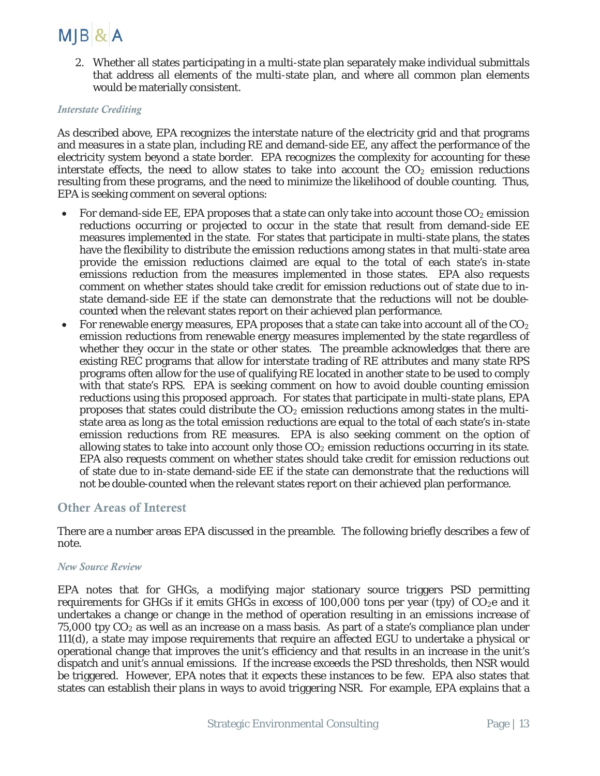### $M$ JB $&$ A

2. Whether all states participating in a multi-state plan separately make individual submittals that address all elements of the multi-state plan, and where all common plan elements would be materially consistent.

#### *Interstate Crediting*

As described above, EPA recognizes the interstate nature of the electricity grid and that programs and measures in a state plan, including RE and demand-side EE, any affect the performance of the electricity system beyond a state border. EPA recognizes the complexity for accounting for these interstate effects, the need to allow states to take into account the  $CO<sub>2</sub>$  emission reductions resulting from these programs, and the need to minimize the likelihood of double counting. Thus, EPA is seeking comment on several options:

- For demand-side EE, EPA proposes that a state can only take into account those  $CO<sub>2</sub>$  emission reductions occurring or projected to occur in the state that result from demand-side EE measures implemented in the state. For states that participate in multi-state plans, the states have the flexibility to distribute the emission reductions among states in that multi-state area provide the emission reductions claimed are equal to the total of each state's in-state emissions reduction from the measures implemented in those states. EPA also requests comment on whether states should take credit for emission reductions out of state due to instate demand-side EE if the state can demonstrate that the reductions will not be doublecounted when the relevant states report on their achieved plan performance.
- For renewable energy measures, EPA proposes that a state can take into account all of the  $CO<sub>2</sub>$ emission reductions from renewable energy measures implemented by the state regardless of whether they occur in the state or other states. The preamble acknowledges that there are existing REC programs that allow for interstate trading of RE attributes and many state RPS programs often allow for the use of qualifying RE located in another state to be used to comply with that state's RPS. EPA is seeking comment on how to avoid double counting emission reductions using this proposed approach. For states that participate in multi-state plans, EPA proposes that states could distribute the  $CO<sub>2</sub>$  emission reductions among states in the multistate area as long as the total emission reductions are equal to the total of each state's in-state emission reductions from RE measures. EPA is also seeking comment on the option of allowing states to take into account only those  $CO<sub>2</sub>$  emission reductions occurring in its state. EPA also requests comment on whether states should take credit for emission reductions out of state due to in-state demand-side EE if the state can demonstrate that the reductions will not be double-counted when the relevant states report on their achieved plan performance.

#### Other Areas of Interest

There are a number areas EPA discussed in the preamble. The following briefly describes a few of note.

#### *New Source Review*

EPA notes that for GHGs, a modifying major stationary source triggers PSD permitting requirements for GHGs if it emits GHGs in excess of 100,000 tons per year (tpy) of  $CO<sub>2</sub>e$  and it undertakes a change or change in the method of operation resulting in an emissions increase of  $75,000$  tpy  $CO<sub>2</sub>$  as well as an increase on a mass basis. As part of a state's compliance plan under 111(d), a state may impose requirements that require an affected EGU to undertake a physical or operational change that improves the unit's efficiency and that results in an increase in the unit's dispatch and unit's annual emissions. If the increase exceeds the PSD thresholds, then NSR would be triggered. However, EPA notes that it expects these instances to be few. EPA also states that states can establish their plans in ways to avoid triggering NSR. For example, EPA explains that a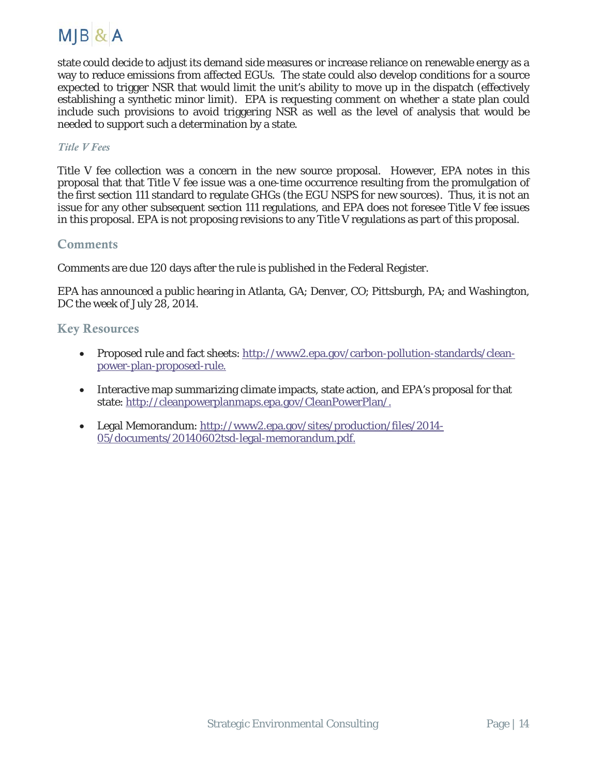

state could decide to adjust its demand side measures or increase reliance on renewable energy as a way to reduce emissions from affected EGUs. The state could also develop conditions for a source expected to trigger NSR that would limit the unit's ability to move up in the dispatch (effectively establishing a synthetic minor limit). EPA is requesting comment on whether a state plan could include such provisions to avoid triggering NSR as well as the level of analysis that would be needed to support such a determination by a state.

#### *Title V Fees*

Title V fee collection was a concern in the new source proposal. However, EPA notes in this proposal that that Title V fee issue was a one-time occurrence resulting from the promulgation of the first section 111 standard to regulate GHGs (the EGU NSPS for new sources). Thus, it is not an issue for any other subsequent section 111 regulations, and EPA does not foresee Title V fee issues in this proposal. EPA is not proposing revisions to any Title V regulations as part of this proposal.

#### **Comments**

Comments are due 120 days after the rule is published in the Federal Register.

EPA has announced a public hearing in Atlanta, GA; Denver, CO; Pittsburgh, PA; and Washington, DC the week of July 28, 2014.

#### Key Resources

- Proposed rule and fact sheets: [http://www2.epa.gov/carbon-pollution-standards/clean](http://www2.epa.gov/carbon-pollution-standards/clean-power-plan-proposed-rule)[power-plan-proposed-rule.](http://www2.epa.gov/carbon-pollution-standards/clean-power-plan-proposed-rule)
- Interactive map summarizing climate impacts, state action, and EPA's proposal for that state: [http://cleanpowerplanmaps.epa.gov/CleanPowerPlan/.](http://cleanpowerplanmaps.epa.gov/CleanPowerPlan/)
- Legal Memorandum: [http://www2.epa.gov/sites/production/files/2014-](http://www2.epa.gov/sites/production/files/2014-05/documents/20140602tsd-legal-memorandum.pdf) [05/documents/20140602tsd-legal-memorandum.pdf.](http://www2.epa.gov/sites/production/files/2014-05/documents/20140602tsd-legal-memorandum.pdf)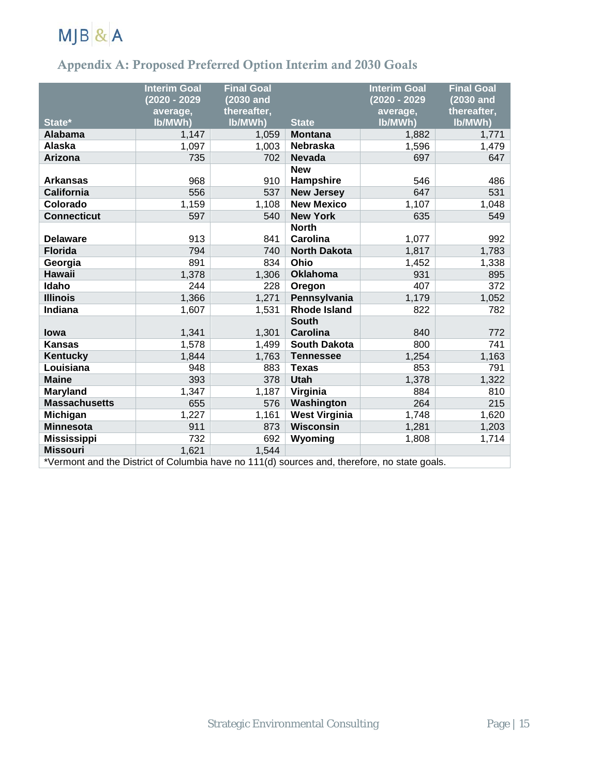

#### Appendix A: Proposed Preferred Option Interim and 2030 Goals

| State*               | <b>Interim Goal</b><br>(2020 - 2029<br>average,<br>lb/MWh) | <b>Final Goal</b><br>(2030 and<br>thereafter,<br>lb/MWh) | <b>State</b>                    | <b>Interim Goal</b><br>(2020 - 2029<br>average,<br>lb/MWh) | <b>Final Goal</b><br>(2030 and<br>thereafter,<br>lb/MWh) |
|----------------------|------------------------------------------------------------|----------------------------------------------------------|---------------------------------|------------------------------------------------------------|----------------------------------------------------------|
| <b>Alabama</b>       | 1,147                                                      | 1,059                                                    | <b>Montana</b>                  | 1,882                                                      | 1,771                                                    |
| <b>Alaska</b>        | 1,097                                                      | 1,003                                                    | <b>Nebraska</b>                 | 1,596                                                      | 1,479                                                    |
| Arizona              | 735                                                        | 702                                                      | <b>Nevada</b>                   | 697                                                        | 647                                                      |
|                      |                                                            |                                                          | <b>New</b>                      |                                                            |                                                          |
| <b>Arkansas</b>      | 968                                                        | 910                                                      | Hampshire                       | 546                                                        | 486                                                      |
| <b>California</b>    | 556                                                        | 537                                                      | <b>New Jersey</b>               | 647                                                        | 531                                                      |
| Colorado             | 1,159                                                      | 1,108                                                    | <b>New Mexico</b>               | 1,107                                                      | 1,048                                                    |
| <b>Connecticut</b>   | 597                                                        | 540                                                      | <b>New York</b>                 | 635                                                        | 549                                                      |
|                      |                                                            |                                                          | <b>North</b>                    |                                                            |                                                          |
| <b>Delaware</b>      | 913                                                        | 841                                                      | Carolina                        | 1,077                                                      | 992                                                      |
| <b>Florida</b>       | 794                                                        | 740                                                      | <b>North Dakota</b>             | 1,817                                                      | 1,783                                                    |
| Georgia              | 891                                                        | 834                                                      | Ohio                            | 1,452                                                      | 1,338                                                    |
| <b>Hawaii</b>        | 1,378                                                      | 1,306                                                    | <b>Oklahoma</b>                 | 931                                                        | 895                                                      |
| Idaho                | 244                                                        | 228                                                      | Oregon                          | 407                                                        | 372                                                      |
| <b>Illinois</b>      | 1,366                                                      | 1,271                                                    | Pennsylvania                    | 1,179                                                      | 1,052                                                    |
| <b>Indiana</b>       | 1,607                                                      | 1,531                                                    | <b>Rhode Island</b>             | 822                                                        | 782                                                      |
| <b>lowa</b>          | 1,341                                                      | 1,301                                                    | <b>South</b><br><b>Carolina</b> | 840                                                        | 772                                                      |
| <b>Kansas</b>        | 1,578                                                      | 1,499                                                    | <b>South Dakota</b>             | 800                                                        | 741                                                      |
| Kentucky             | 1,844                                                      | 1,763                                                    | <b>Tennessee</b>                | 1,254                                                      | 1,163                                                    |
| Louisiana            | 948                                                        | 883                                                      | <b>Texas</b>                    | 853                                                        | 791                                                      |
| <b>Maine</b>         | 393                                                        | 378                                                      | <b>Utah</b>                     | 1,378                                                      | 1,322                                                    |
| <b>Maryland</b>      | 1,347                                                      | 1,187                                                    | Virginia                        | 884                                                        | 810                                                      |
| <b>Massachusetts</b> | 655                                                        | 576                                                      | Washington                      | 264                                                        | 215                                                      |
| <b>Michigan</b>      | 1,227                                                      | 1,161                                                    | <b>West Virginia</b>            | 1,748                                                      | 1,620                                                    |
| <b>Minnesota</b>     | 911                                                        | 873                                                      | <b>Wisconsin</b>                | 1,281                                                      | 1,203                                                    |
| <b>Mississippi</b>   | 732                                                        | 692                                                      | Wyoming                         | 1,808                                                      | 1,714                                                    |
| <b>Missouri</b>      | 1,621                                                      | 1,544                                                    |                                 |                                                            |                                                          |

\*Vermont and the District of Columbia have no 111(d) sources and, therefore, no state goals.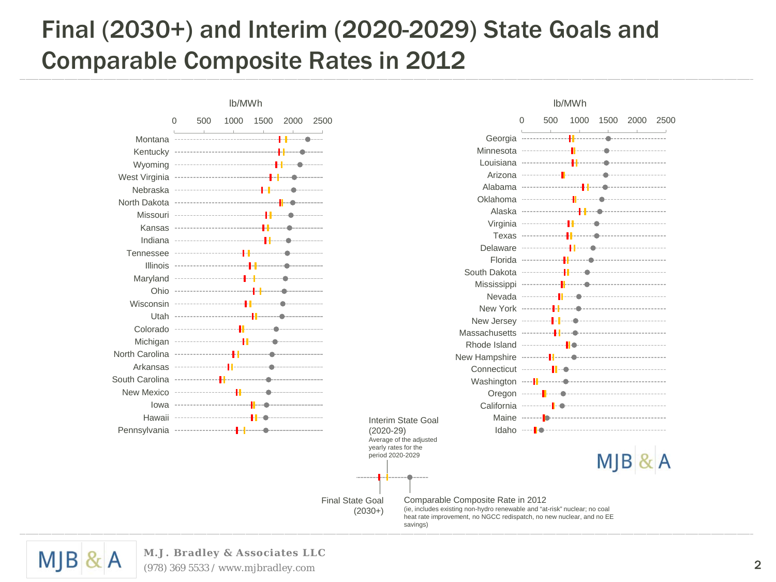# Final (2030+) and Interim (2020-2029) State Goals and Comparable Composite Rates in 2012

Final State Goal (2030+)

#### 0 500 1000 1500 2000 2500 Montana Kentucky Wyoming West Virginia Nebraska North Dakota Missouri Kansas Indiana Tennessee Illinois Maryland Ohio Wisconsin Utah Colorado Michigan North Carolina Arkansas South Carolina New Mexico Iowa Hawaii Pennsylvania lb/MWh lb/MWh Interim State Goal (2020-29) Average of the adjusted yearly rates for the period 2020-2029



Comparable Composite Rate in 2012 (ie, includes existing non-hydro renewable and "at-risk" nuclear; no coal heat rate improvement, no NGCC redispatch, no new nuclear, and no EE savings)



#### **M.J. Bradley & Associates LLC**

(978) 369 5533 / www.mjbradley.com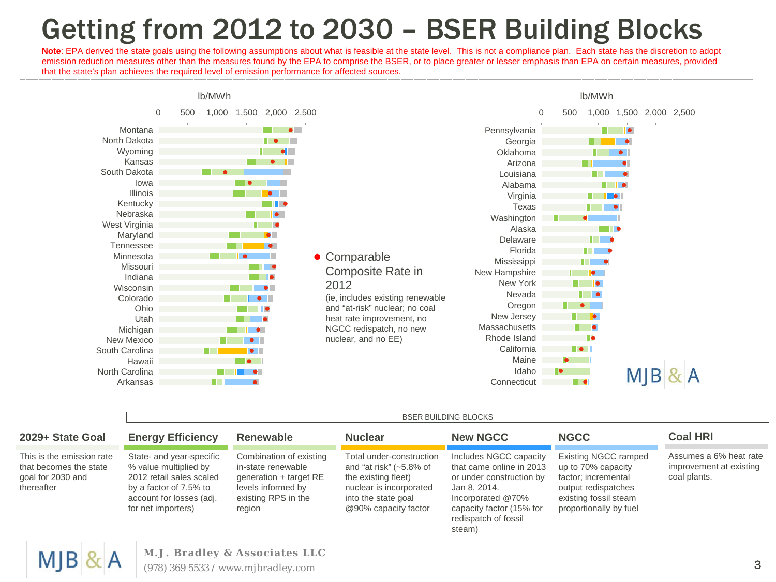# Getting from 2012 to 2030 – BSER Building Blocks

Note: EPA derived the state goals using the following assumptions about what is feasible at the state level. This is not a compliance plan. Each state has the discretion to adopt emission reduction measures other than the measures found by the EPA to comprise the BSER, or to place greater or lesser emphasis than EPA on certain measures, provided that the state's plan achieves the required level of emission performance for affected sources.



|                                                                                        |                                                                                                                                                           | <b>BSER BUILDING BLOCKS</b>                                                                                                    |                                                                                                                                                         |                                                                                                                                                                                   |                                                                                                                                                    |                                                                   |  |  |  |  |  |  |
|----------------------------------------------------------------------------------------|-----------------------------------------------------------------------------------------------------------------------------------------------------------|--------------------------------------------------------------------------------------------------------------------------------|---------------------------------------------------------------------------------------------------------------------------------------------------------|-----------------------------------------------------------------------------------------------------------------------------------------------------------------------------------|----------------------------------------------------------------------------------------------------------------------------------------------------|-------------------------------------------------------------------|--|--|--|--|--|--|
| 2029+ State Goal                                                                       | <b>Energy Efficiency</b>                                                                                                                                  | Renewable                                                                                                                      | <b>Nuclear</b>                                                                                                                                          | <b>New NGCC</b>                                                                                                                                                                   | <b>NGCC</b>                                                                                                                                        | <b>Coal HRI</b>                                                   |  |  |  |  |  |  |
| This is the emission rate<br>that becomes the state<br>goal for 2030 and<br>thereafter | State- and year-specific<br>% value multiplied by<br>2012 retail sales scaled<br>by a factor of 7.5% to<br>account for losses (adj.<br>for net importers) | Combination of existing<br>in-state renewable<br>generation + target RE<br>levels informed by<br>existing RPS in the<br>region | Total under-construction<br>and "at risk" $(-5.8\%$ of<br>the existing fleet)<br>nuclear is incorporated<br>into the state goal<br>@90% capacity factor | Includes NGCC capacity<br>that came online in 2013<br>or under construction by<br>Jan 8, 2014.<br>Incorporated @70%<br>capacity factor (15% for<br>redispatch of fossil<br>steam) | <b>Existing NGCC ramped</b><br>up to 70% capacity<br>factor; incremental<br>output redispatches<br>existing fossil steam<br>proportionally by fuel | Assumes a 6% heat rate<br>improvement at existing<br>coal plants. |  |  |  |  |  |  |



**M.J. Bradley & Associates LLC**

(978) 369 5533 / www.mjbradley.com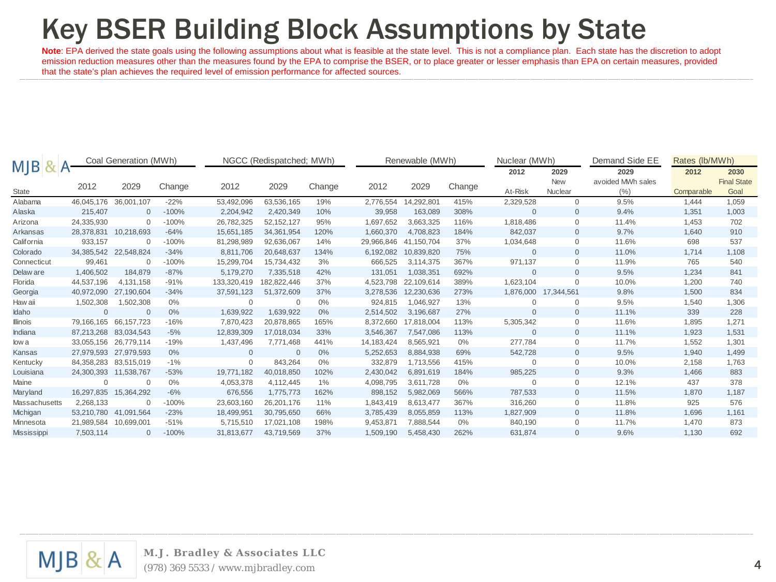# Key BSER Building Block Assumptions by State

Note: EPA derived the state goals using the following assumptions about what is feasible at the state level. This is not a compliance plan. Each state has the discretion to adopt emission reduction measures other than the measures found by the EPA to comprise the BSER, or to place greater or lesser emphasis than EPA on certain measures, provided that the state's plan achieves the required level of emission performance for affected sources.

|                    |              | Coal Generation (MWh) |         |              | NGCC (Redispatched; MWh) |        |              | Renewable (MWh) |        |              | Nuclear (MWh)      | Demand Side EE            | Rates (lb/MWh) |                            |
|--------------------|--------------|-----------------------|---------|--------------|--------------------------|--------|--------------|-----------------|--------|--------------|--------------------|---------------------------|----------------|----------------------------|
| <b>MJB</b>         |              |                       |         |              |                          |        |              |                 |        | 2012         | 2029<br><b>New</b> | 2029<br>avoided MWh sales | 2012           | 2030<br><b>Final State</b> |
| State              | 2012         | 2029                  | Change  | 2012         | 2029                     | Change | 2012         | 2029            | Change | At-Risk      | Nuclear            | (% )                      | Comparable     | Goal                       |
| Alabama            | 46,045,176   | 36,001,107            | $-22%$  | 53,492,096   | 63,536,165               | 19%    | 2,776,554    | 14,292,801      | 415%   | 2,329,528    | $\Omega$           | 9.5%                      | 1,444          | 1,059                      |
| Alaska             | 215,407      |                       | $-100%$ | 2,204,942    | 2,420,349                | 10%    | 39,958       | 163,089         | 308%   | $\mathbf{0}$ | $\mathbf{0}$       | 9.4%                      | 1,351          | 1,003                      |
| Arizona            | 24,335,930   |                       | $-100%$ | 26.782.325   | 52.152.127               | 95%    | 1.697.652    | 3.663.325       | 116%   | 1,818,486    | 0                  | 11.4%                     | 1.453          | 702                        |
| Arkansas           | 28,378,831   | 10,218,693            | $-64%$  | 15,651,185   | 34, 361, 954             | 120%   | 1,660,370    | 4,708,823       | 184%   | 842,037      | $\mathbf{0}$       | 9.7%                      | 1,640          | 910                        |
| California         | 933.157      |                       | $-100%$ | 81,298,989   | 92.636.067               | 14%    | 29,966,846   | 41.150.704      | 37%    | 1,034,648    | 0                  | 11.6%                     | 698            | 537                        |
| Colorado           | 34,385,542   | 22.548.824            | $-34%$  | 8,811,706    | 20.648.637               | 134%   | 6,192,082    | 10.839.820      | 75%    | $\mathbf{0}$ | $\Omega$           | 11.0%                     | 1.714          | 1,108                      |
| Connecticut        | 99,461       |                       | $-100%$ | 15,299,704   | 15,734,432               | 3%     | 666,525      | 3,114,375       | 367%   | 971,137      | $\Omega$           | 11.9%                     | 765            | 540                        |
| Delaw are          | 1,406,502    | 184.879               | $-87%$  | 5,179,270    | 7,335,518                | 42%    | 131,051      | 1,038,351       | 692%   | $\mathbf{0}$ | $\mathbf{0}$       | 9.5%                      | 1,234          | 841                        |
| Florida            | 44,537,196   | 4.131.158             | $-91%$  | 133,320,419  | 182.822.446              | 37%    | 4,523,798    | 22.109.614      | 389%   | 1,623,104    | $\Omega$           | 10.0%                     | 1,200          | 740                        |
| Georgia            | 40,972,090   | 27,190,604            | $-34%$  | 37,591,123   | 51,372,609               | 37%    | 3,278,536    | 12,230,636      | 273%   | 1,876,000    | 17,344,561         | 9.8%                      | 1,500          | 834                        |
| Haw aii            | 1,502,308    | 1,502,308             | $0\%$   | $\Omega$     | $\Omega$                 | 0%     | 924,815      | 1,046,927       | 13%    | $\mathbf 0$  | $\mathbf 0$        | 9.5%                      | 1,540          | 1,306                      |
| Idaho              | $\mathbf{0}$ | $\Omega$              | $0\%$   | 1,639,922    | 1,639,922                | 0%     | 2,514,502    | 3.196.687       | 27%    | $\mathbf{0}$ | $\mathbf{0}$       | 11.1%                     | 339            | 228                        |
| <b>Illinois</b>    | 79,166,165   | 66.157.723            | $-16%$  | 7,870,423    | 20,878,865               | 165%   | 8,372,660    | 17,818,004      | 113%   | 5,305,342    | $\Omega$           | 11.6%                     | 1,895          | 1,271                      |
| Indiana            | 87,213,268   | 83.034.543            | $-5%$   | 12,839,309   | 17.018.034               | 33%    | 3,546,367    | 7,547,086       | 113%   | $\Omega$     | $\Omega$           | 11.1%                     | 1,923          | 1,531                      |
| low a              | 33,055,156   | 26.779.114            | $-19%$  | 1,437,496    | 7,771,468                | 441%   | 14, 183, 424 | 8,565,921       | 0%     | 277,784      | $\Omega$           | 11.7%                     | 1,552          | 1,301                      |
| Kansas             | 27,979,593   | 27,979,593            | $0\%$   | $\mathbf{0}$ | $\overline{0}$           | 0%     | 5,252,653    | 8,884,938       | 69%    | 542,728      | $\mathbf{0}$       | 9.5%                      | 1,940          | 1,499                      |
| Kentucky           | 84,358,283   | 83,515,019            | $-1%$   | $\Omega$     | 843.264                  | 0%     | 332,879      | 1,713,556       | 415%   | $\Omega$     | 0                  | 10.0%                     | 2,158          | 1,763                      |
| Louisiana          | 24,300,393   | 11.538.767            | $-53%$  | 19.771.182   | 40.018.850               | 102%   | 2,430,042    | 6.891.619       | 184%   | 985,225      | $\mathbf{0}$       | 9.3%                      | 1.466          | 883                        |
| Maine              | $\mathbf{0}$ |                       | $0\%$   | 4,053,378    | 4.112.445                | 1%     | 4,098,795    | 3,611,728       | 0%     | $\mathbf{0}$ | 0                  | 12.1%                     | 437            | 378                        |
| Maryland           | 16.297.835   | 15.364.292            | $-6%$   | 676,556      | 1.775.773                | 162%   | 898,152      | 5,982,069       | 566%   | 787,533      | $\mathbf{0}$       | 11.5%                     | 1.870          | 1,187                      |
| Massachusetts      | 2,268,133    |                       | $-100%$ | 23,603,160   | 26,201,176               | 11%    | 1,843,419    | 8,613,477       | 367%   | 316,260      | $\Omega$           | 11.8%                     | 925            | 576                        |
| Michigan           | 53,210,780   | 41,091,564            | $-23%$  | 18,499,951   | 30,795,650               | 66%    | 3,785,439    | 8,055,859       | 113%   | 1,827,909    | $\mathbf{0}$       | 11.8%                     | 1,696          | 1,161                      |
| Minnesota          | 21,989,584   | 10.699.001            | $-51%$  | 5,715,510    | 17.021.108               | 198%   | 9,453,871    | 7.888.544       | $0\%$  | 840,190      | 0                  | 11.7%                     | 1.470          | 873                        |
| <b>Mississippi</b> | 7,503,114    | $\mathbf{0}$          | $-100%$ | 31.813.677   | 43.719.569               | 37%    | 1,509,190    | 5,458,430       | 262%   | 631,874      | $\Omega$           | 9.6%                      | 1,130          | 692                        |